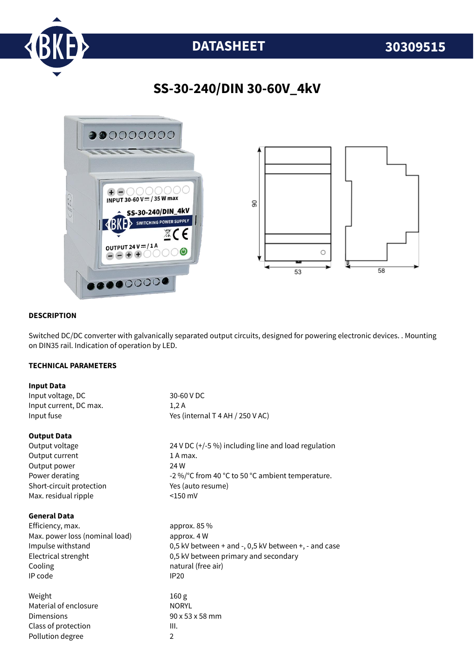

# **DATASHEET 30309515**

## **SS-30-240/DIN 30-60V\_4kV**



#### **DESCRIPTION**

Switched DC/DC converter with galvanically separated output circuits, designed for powering electronic devices. . Mounting on DIN35 rail. Indication of operation by LED.

#### **TECHNICAL PARAMETERS**

| <b>Input Data</b>              |                                                      |
|--------------------------------|------------------------------------------------------|
| Input voltage, DC              | 30-60 V DC                                           |
| Input current, DC max.         | 1,2A                                                 |
| Input fuse                     | Yes (internal T 4 AH / 250 V AC)                     |
| <b>Output Data</b>             |                                                      |
| Output voltage                 | 24 V DC (+/-5 %) including line and load regulation  |
| Output current                 | 1 A max.                                             |
| Output power                   | 24 W                                                 |
| Power derating                 | -2 %/°C from 40 °C to 50 °C ambient temperature.     |
| Short-circuit protection       | Yes (auto resume)                                    |
| Max. residual ripple           | $<$ 150 mV                                           |
| <b>General Data</b>            |                                                      |
| Efficiency, max.               | approx. 85 %                                         |
| Max. power loss (nominal load) | approx. 4 W                                          |
| Impulse withstand              | 0,5 kV between + and -, 0,5 kV between +, - and case |
| Electrical strenght            | 0,5 kV between primary and secondary                 |
| Cooling                        | natural (free air)                                   |
| IP code                        | <b>IP20</b>                                          |
| Weight                         | 160 g                                                |
| Material of enclosure          | <b>NORYL</b>                                         |
| Dimensions                     | 90 x 53 x 58 mm                                      |
| Class of protection            | III.                                                 |
| Pollution degree               | $\overline{2}$                                       |
|                                |                                                      |